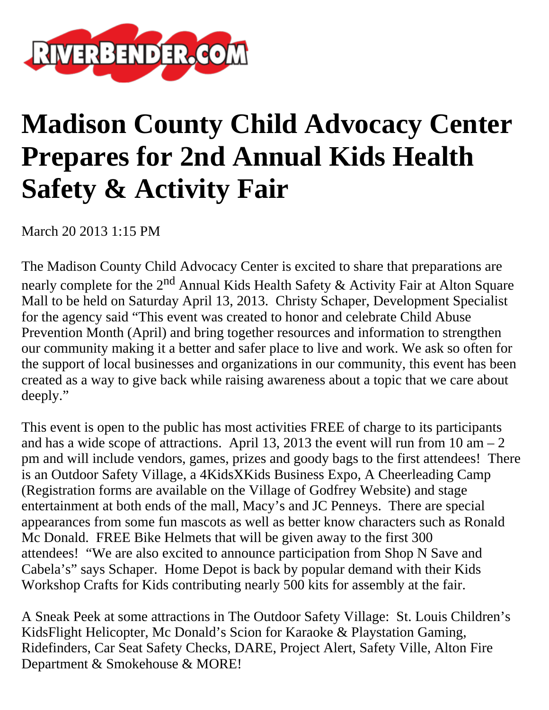

## **Madison County Child Advocacy Center Prepares for 2nd Annual Kids Health Safety & Activity Fair**

March 20 2013 1:15 PM

The Madison County Child Advocacy Center is excited to share that preparations are nearly complete for the  $2<sup>nd</sup>$  Annual Kids Health Safety & Activity Fair at Alton Square Mall to be held on Saturday April 13, 2013. Christy Schaper, Development Specialist for the agency said "This event was created to honor and celebrate Child Abuse Prevention Month (April) and bring together resources and information to strengthen our community making it a better and safer place to live and work. We ask so often for the support of local businesses and organizations in our community, this event has been created as a way to give back while raising awareness about a topic that we care about deeply."

This event is open to the public has most activities FREE of charge to its participants and has a wide scope of attractions. April 13, 2013 the event will run from 10 am  $-2$ pm and will include vendors, games, prizes and goody bags to the first attendees! There is an Outdoor Safety Village, a 4KidsXKids Business Expo, A Cheerleading Camp (Registration forms are available on the Village of Godfrey Website) and stage entertainment at both ends of the mall, Macy's and JC Penneys. There are special appearances from some fun mascots as well as better know characters such as Ronald Mc Donald. FREE Bike Helmets that will be given away to the first 300 attendees! "We are also excited to announce participation from Shop N Save and Cabela's" says Schaper. Home Depot is back by popular demand with their Kids Workshop Crafts for Kids contributing nearly 500 kits for assembly at the fair.

A Sneak Peek at some attractions in The Outdoor Safety Village: St. Louis Children's KidsFlight Helicopter, Mc Donald's Scion for Karaoke & Playstation Gaming, Ridefinders, Car Seat Safety Checks, DARE, Project Alert, Safety Ville, Alton Fire Department & Smokehouse & MORE!